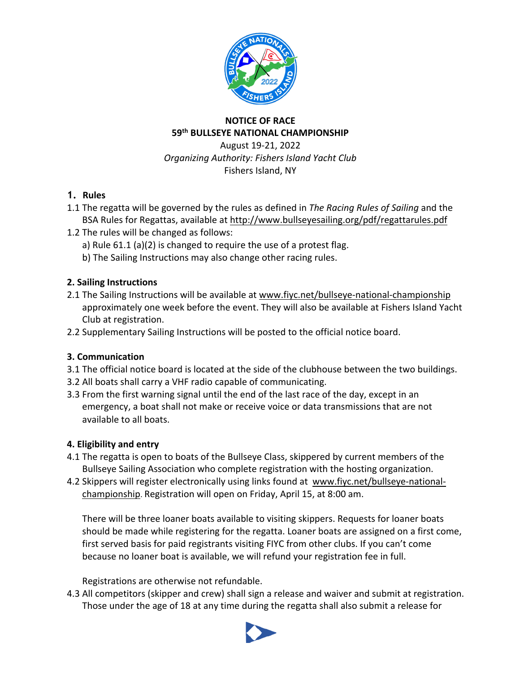

# **NOTICE OF RACE 59th BULLSEYE NATIONAL CHAMPIONSHIP**

August 19-21, 2022 *Organizing Authority: Fishers Island Yacht Club* Fishers Island, NY

# **1. Rules**

- 1.1 The regatta will be governed by the rules as defined in *The Racing Rules of Sailing* and the BSA Rules for Regattas, available at http://www.bullseyesailing.org/pdf/regattarules.pdf
- 1.2 The rules will be changed as follows:
	- a) Rule 61.1 (a)(2) is changed to require the use of a protest flag.
	- b) The Sailing Instructions may also change other racing rules.

#### **2. Sailing Instructions**

- 2.1 The Sailing Instructions will be available at www.fiyc.net/bullseye-national-championship approximately one week before the event. They will also be available at Fishers Island Yacht Club at registration.
- 2.2 Supplementary Sailing Instructions will be posted to the official notice board.

# **3. Communication**

- 3.1 The official notice board is located at the side of the clubhouse between the two buildings.
- 3.2 All boats shall carry a VHF radio capable of communicating.
- 3.3 From the first warning signal until the end of the last race of the day, except in an emergency, a boat shall not make or receive voice or data transmissions that are not available to all boats.

# **4. Eligibility and entry**

- 4.1 The regatta is open to boats of the Bullseye Class, skippered by current members of the Bullseye Sailing Association who complete registration with the hosting organization.
- 4.2 Skippers will register electronically using links found at www.fiyc.net/bullseye-nationalchampionship. Registration will open on Friday, April 15, at 8:00 am.

There will be three loaner boats available to visiting skippers. Requests for loaner boats should be made while registering for the regatta. Loaner boats are assigned on a first come, first served basis for paid registrants visiting FIYC from other clubs. If you can't come because no loaner boat is available, we will refund your registration fee in full.

Registrations are otherwise not refundable.

4.3 All competitors (skipper and crew) shall sign a release and waiver and submit at registration. Those under the age of 18 at any time during the regatta shall also submit a release for

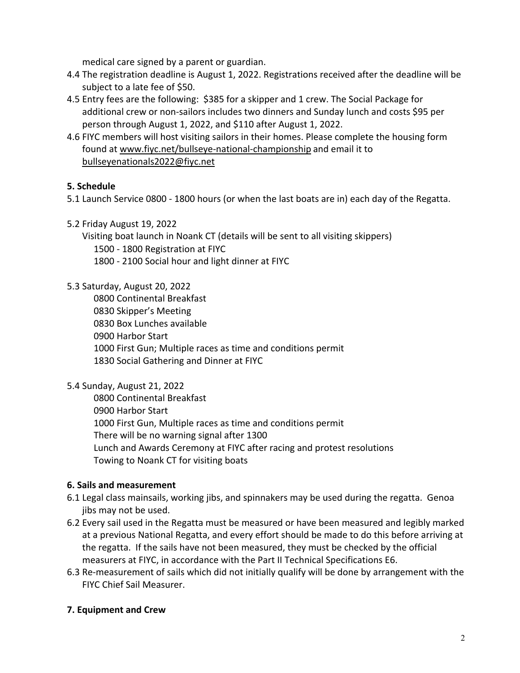medical care signed by a parent or guardian.

- 4.4 The registration deadline is August 1, 2022. Registrations received after the deadline will be subject to a late fee of \$50.
- 4.5 Entry fees are the following: \$385 for a skipper and 1 crew. The Social Package for additional crew or non-sailors includes two dinners and Sunday lunch and costs \$95 per person through August 1, 2022, and \$110 after August 1, 2022.
- 4.6 FIYC members will host visiting sailors in their homes. Please complete the housing form found at www.fiyc.net/bullseye-national-championship and email it to bullseyenationals2022@fiyc.net

# **5. Schedule**

- 5.1 Launch Service 0800 1800 hours (or when the last boats are in) each day of the Regatta.
- 5.2 Friday August 19, 2022

Visiting boat launch in Noank CT (details will be sent to all visiting skippers) 1500 - 1800 Registration at FIYC 1800 - 2100 Social hour and light dinner at FIYC

#### 5.3 Saturday, August 20, 2022

0800 Continental Breakfast 0830 Skipper's Meeting 0830 Box Lunches available 0900 Harbor Start 1000 First Gun; Multiple races as time and conditions permit 1830 Social Gathering and Dinner at FIYC

# 5.4 Sunday, August 21, 2022

0800 Continental Breakfast 0900 Harbor Start 1000 First Gun, Multiple races as time and conditions permit There will be no warning signal after 1300 Lunch and Awards Ceremony at FIYC after racing and protest resolutions Towing to Noank CT for visiting boats

# **6. Sails and measurement**

- 6.1 Legal class mainsails, working jibs, and spinnakers may be used during the regatta. Genoa jibs may not be used.
- 6.2 Every sail used in the Regatta must be measured or have been measured and legibly marked at a previous National Regatta, and every effort should be made to do this before arriving at the regatta. If the sails have not been measured, they must be checked by the official measurers at FIYC, in accordance with the Part II Technical Specifications E6.
- 6.3 Re-measurement of sails which did not initially qualify will be done by arrangement with the FIYC Chief Sail Measurer.

# **7. Equipment and Crew**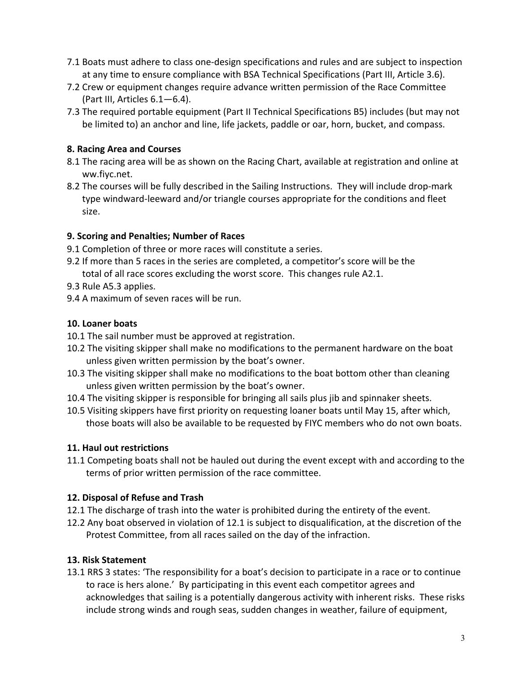- 7.1 Boats must adhere to class one-design specifications and rules and are subject to inspection at any time to ensure compliance with BSA Technical Specifications (Part III, Article 3.6).
- 7.2 Crew or equipment changes require advance written permission of the Race Committee (Part III, Articles 6.1—6.4).
- 7.3 The required portable equipment (Part II Technical Specifications B5) includes (but may not be limited to) an anchor and line, life jackets, paddle or oar, horn, bucket, and compass.

#### **8. Racing Area and Courses**

- 8.1 The racing area will be as shown on the Racing Chart, available at registration and online at ww.fiyc.net.
- 8.2 The courses will be fully described in the Sailing Instructions. They will include drop-mark type windward-leeward and/or triangle courses appropriate for the conditions and fleet size.

#### **9. Scoring and Penalties; Number of Races**

- 9.1 Completion of three or more races will constitute a series.
- 9.2 If more than 5 races in the series are completed, a competitor's score will be the total of all race scores excluding the worst score. This changes rule A2.1.
- 9.3 Rule A5.3 applies.
- 9.4 A maximum of seven races will be run.

#### **10. Loaner boats**

- 10.1 The sail number must be approved at registration.
- 10.2 The visiting skipper shall make no modifications to the permanent hardware on the boat unless given written permission by the boat's owner.
- 10.3 The visiting skipper shall make no modifications to the boat bottom other than cleaning unless given written permission by the boat's owner.
- 10.4 The visiting skipper is responsible for bringing all sails plus jib and spinnaker sheets.
- 10.5 Visiting skippers have first priority on requesting loaner boats until May 15, after which, those boats will also be available to be requested by FIYC members who do not own boats.

# **11. Haul out restrictions**

11.1 Competing boats shall not be hauled out during the event except with and according to the terms of prior written permission of the race committee.

# **12. Disposal of Refuse and Trash**

- 12.1 The discharge of trash into the water is prohibited during the entirety of the event.
- 12.2 Any boat observed in violation of 12.1 is subject to disqualification, at the discretion of the Protest Committee, from all races sailed on the day of the infraction.

# **13. Risk Statement**

13.1 RRS 3 states: 'The responsibility for a boat's decision to participate in a race or to continue to race is hers alone.' By participating in this event each competitor agrees and acknowledges that sailing is a potentially dangerous activity with inherent risks. These risks include strong winds and rough seas, sudden changes in weather, failure of equipment,